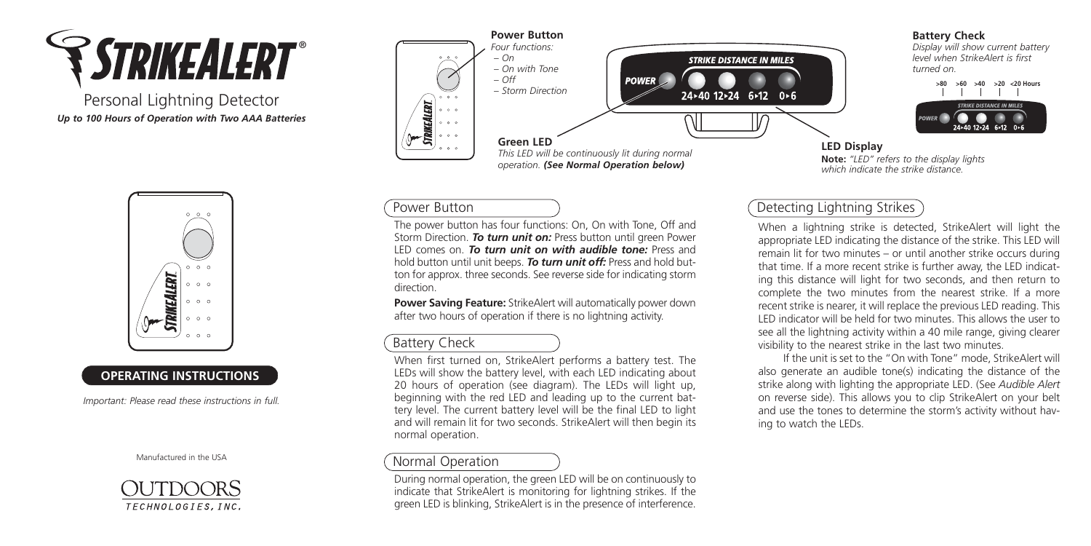

Personal Lightning Detector *Up to 100 Hours of Operation with Two AAA Batteries*



## **OPERATING INSTRUCTIONS**

*Important: Please read these instructions in full.*







### **Battery Check**

*Display will show current battery level when StrikeAlert is first turned on.*



*which indicate the strike distance.*

## Power Button

The power button has four functions: On, On with Tone, Off and Storm Direction. *To turn unit on:* Press button until green Power LED comes on. *To turn unit on with audible tone:* Press and hold button until unit beeps. *To turn unit off:* Press and hold button for approx. three seconds. See reverse side for indicating storm direction.

**Power Saving Feature:** StrikeAlert will automatically power down after two hours of operation if there is no lightning activity.

# Battery Check

When first turned on, StrikeAlert performs a battery test. The LEDs will show the battery level, with each LED indicating about 20 hours of operation (see diagram). The LEDs will light up, beginning with the red LED and leading up to the current battery level. The current battery level will be the final LED to light and will remain lit for two seconds. StrikeAlert will then begin its normal operation.

## Normal Operation

During normal operation, the green LED will be on continuously to indicate that StrikeAlert is monitoring for lightning strikes. If the green LED is blinking, StrikeAlert is in the presence of interference.

# Detecting Lightning Strikes

When a lightning strike is detected, StrikeAlert will light the appropriate LED indicating the distance of the strike. This LED will remain lit for two minutes – or until another strike occurs during that time. If a more recent strike is further away, the LED indicating this distance will light for two seconds, and then return to complete the two minutes from the nearest strike. If a more recent strike is nearer, it will replace the previous LED reading. This LED indicator will be held for two minutes. This allows the user to see all the lightning activity within a 40 mile range, giving clearer visibility to the nearest strike in the last two minutes.

If the unit is set to the "On with Tone" mode, StrikeAlert will also generate an audible tone(s) indicating the distance of the strike along with lighting the appropriate LED. (See *Audible Alert* on reverse side). This allows you to clip StrikeAlert on your belt and use the tones to determine the storm's activity without having to watch the LEDs.